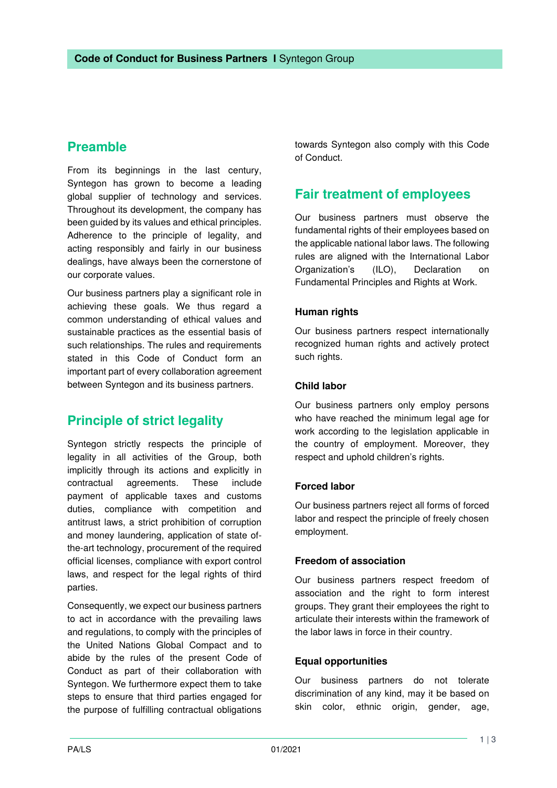# **Preamble**

From its beginnings in the last century, Syntegon has grown to become a leading global supplier of technology and services. Throughout its development, the company has been guided by its values and ethical principles. Adherence to the principle of legality, and acting responsibly and fairly in our business dealings, have always been the cornerstone of our corporate values.

Our business partners play a significant role in achieving these goals. We thus regard a common understanding of ethical values and sustainable practices as the essential basis of such relationships. The rules and requirements stated in this Code of Conduct form an important part of every collaboration agreement between Syntegon and its business partners.

# **Principle of strict legality**

Syntegon strictly respects the principle of legality in all activities of the Group, both implicitly through its actions and explicitly in contractual agreements. These include payment of applicable taxes and customs duties, compliance with competition and antitrust laws, a strict prohibition of corruption and money laundering, application of state ofthe-art technology, procurement of the required official licenses, compliance with export control laws, and respect for the legal rights of third parties.

Consequently, we expect our business partners to act in accordance with the prevailing laws and regulations, to comply with the principles of the United Nations Global Compact and to abide by the rules of the present Code of Conduct as part of their collaboration with Syntegon. We furthermore expect them to take steps to ensure that third parties engaged for the purpose of fulfilling contractual obligations

towards Syntegon also comply with this Code of Conduct.

## **Fair treatment of employees**

Our business partners must observe the fundamental rights of their employees based on the applicable national labor laws. The following rules are aligned with the International Labor Organization's (ILO), Declaration on Fundamental Principles and Rights at Work.

### **Human rights**

Our business partners respect internationally recognized human rights and actively protect such rights.

### **Child labor**

Our business partners only employ persons who have reached the minimum legal age for work according to the legislation applicable in the country of employment. Moreover, they respect and uphold children's rights.

### **Forced labor**

Our business partners reject all forms of forced labor and respect the principle of freely chosen employment.

#### **Freedom of association**

Our business partners respect freedom of association and the right to form interest groups. They grant their employees the right to articulate their interests within the framework of the labor laws in force in their country.

#### **Equal opportunities**

Our business partners do not tolerate discrimination of any kind, may it be based on skin color, ethnic origin, gender, age,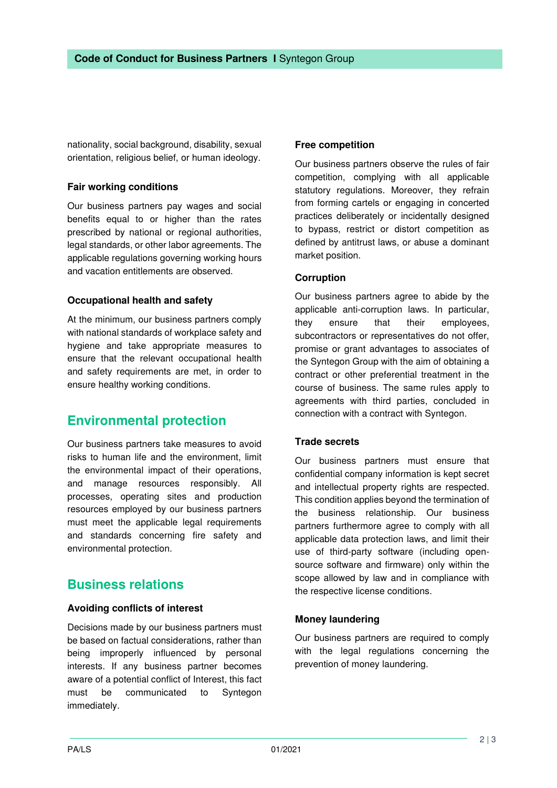nationality, social background, disability, sexual orientation, religious belief, or human ideology.

### **Fair working conditions**

Our business partners pay wages and social benefits equal to or higher than the rates prescribed by national or regional authorities, legal standards, or other labor agreements. The applicable regulations governing working hours and vacation entitlements are observed.

### **Occupational health and safety**

At the minimum, our business partners comply with national standards of workplace safety and hygiene and take appropriate measures to ensure that the relevant occupational health and safety requirements are met, in order to ensure healthy working conditions.

### **Environmental protection**

Our business partners take measures to avoid risks to human life and the environment, limit the environmental impact of their operations, and manage resources responsibly. All processes, operating sites and production resources employed by our business partners must meet the applicable legal requirements and standards concerning fire safety and environmental protection.

### **Business relations**

### **Avoiding conflicts of interest**

Decisions made by our business partners must be based on factual considerations, rather than being improperly influenced by personal interests. If any business partner becomes aware of a potential conflict of Interest, this fact must be communicated to Syntegon immediately.

### **Free competition**

Our business partners observe the rules of fair competition, complying with all applicable statutory regulations. Moreover, they refrain from forming cartels or engaging in concerted practices deliberately or incidentally designed to bypass, restrict or distort competition as defined by antitrust laws, or abuse a dominant market position.

### **Corruption**

Our business partners agree to abide by the applicable anti-corruption laws. In particular, they ensure that their employees, subcontractors or representatives do not offer, promise or grant advantages to associates of the Syntegon Group with the aim of obtaining a contract or other preferential treatment in the course of business. The same rules apply to agreements with third parties, concluded in connection with a contract with Syntegon.

### **Trade secrets**

Our business partners must ensure that confidential company information is kept secret and intellectual property rights are respected. This condition applies beyond the termination of the business relationship. Our business partners furthermore agree to comply with all applicable data protection laws, and limit their use of third-party software (including opensource software and firmware) only within the scope allowed by law and in compliance with the respective license conditions.

### **Money laundering**

Our business partners are required to comply with the legal regulations concerning the prevention of money laundering.